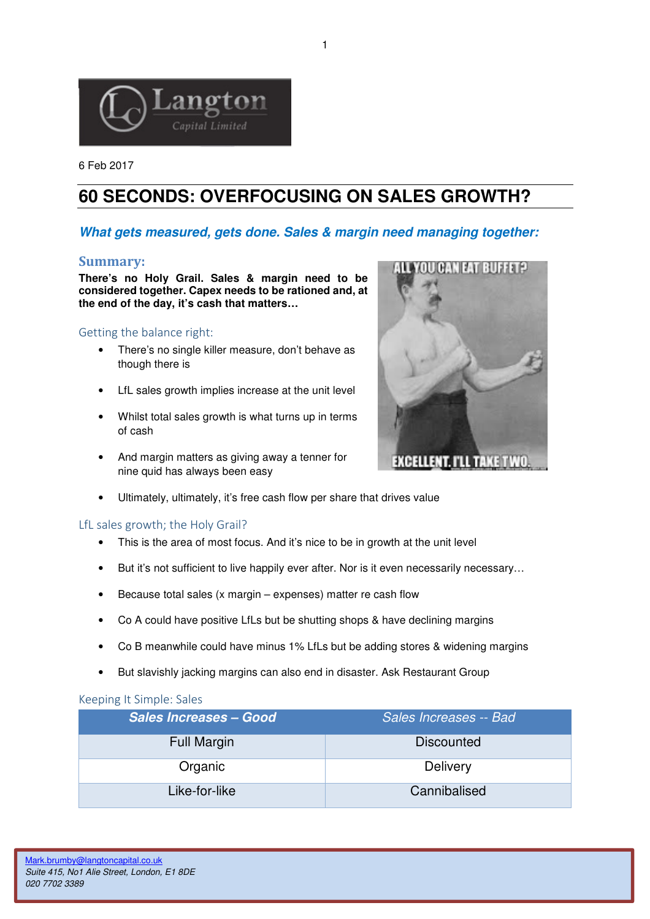

6 Feb 2017

# **60 SECONDS: OVERFOCUSING ON SALES GROWTH?**

## **What gets measured, gets done. Sales & margin need managing together:**

#### Summary:

**There's no Holy Grail. Sales & margin need to be considered together. Capex needs to be rationed and, at the end of the day, it's cash that matters…** 

### Getting the balance right:

- There's no single killer measure, don't behave as though there is
- LfL sales growth implies increase at the unit level
- Whilst total sales growth is what turns up in terms of cash
- And margin matters as giving away a tenner for nine quid has always been easy



#### LfL sales growth; the Holy Grail?

- This is the area of most focus. And it's nice to be in growth at the unit level
- But it's not sufficient to live happily ever after. Nor is it even necessarily necessary...
- Because total sales (x margin expenses) matter re cash flow
- Co A could have positive LfLs but be shutting shops & have declining margins
- Co B meanwhile could have minus 1% LfLs but be adding stores & widening margins
- But slavishly jacking margins can also end in disaster. Ask Restaurant Group

#### Keeping It Simple: Sales

| <b>Sales Increases - Good</b> | Sales Increases -- Bad |
|-------------------------------|------------------------|
| <b>Full Margin</b>            | Discounted             |
| Organic                       | <b>Delivery</b>        |
| Like-for-like                 | Cannibalised           |



1